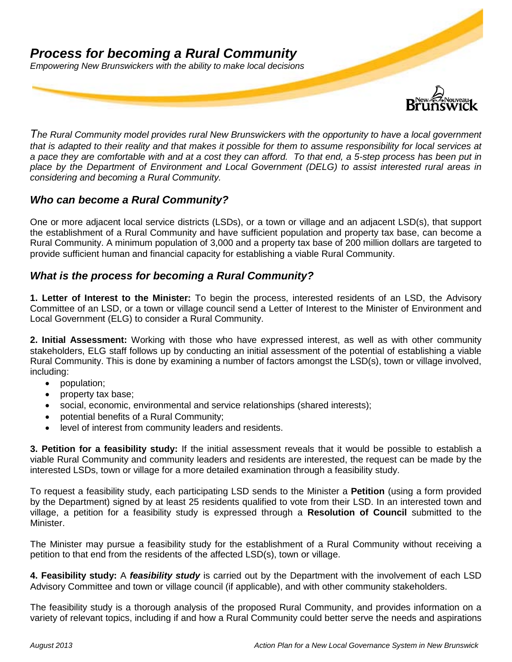# *Process for becoming a Rural Community Empowering New Brunswickers with the ability to make local decisions*



*The Rural Community model provides rural New Brunswickers with the opportunity to have a local government that is adapted to their reality and that makes it possible for them to assume responsibility for local services at a pace they are comfortable with and at a cost they can afford. To that end, a 5-step process has been put in place by the Department of Environment and Local Government (DELG) to assist interested rural areas in considering and becoming a Rural Community.*

## *Who can become a Rural Community?*

One or more adjacent local service districts (LSDs), or a town or village and an adjacent LSD(s), that support the establishment of a Rural Community and have sufficient population and property tax base, can become a Rural Community. A minimum population of 3,000 and a property tax base of 200 million dollars are targeted to provide sufficient human and financial capacity for establishing a viable Rural Community.

### *What is the process for becoming a Rural Community?*

**1. Letter of Interest to the Minister:** To begin the process, interested residents of an LSD, the Advisory Committee of an LSD, or a town or village council send a Letter of Interest to the Minister of Environment and Local Government (ELG) to consider a Rural Community.

**2. Initial Assessment:** Working with those who have expressed interest, as well as with other community stakeholders, ELG staff follows up by conducting an initial assessment of the potential of establishing a viable Rural Community. This is done by examining a number of factors amongst the LSD(s), town or village involved, including:

- population;
- property tax base;
- social, economic, environmental and service relationships (shared interests);
- potential benefits of a Rural Community;
- level of interest from community leaders and residents.

**3. Petition for a feasibility study:** If the initial assessment reveals that it would be possible to establish a viable Rural Community and community leaders and residents are interested, the request can be made by the interested LSDs, town or village for a more detailed examination through a feasibility study.

To request a feasibility study, each participating LSD sends to the Minister a **Petition** (using a form provided by the Department) signed by at least 25 residents qualified to vote from their LSD. In an interested town and village, a petition for a feasibility study is expressed through a **Resolution of Council** submitted to the Minister.

The Minister may pursue a feasibility study for the establishment of a Rural Community without receiving a petition to that end from the residents of the affected LSD(s), town or village.

**4. Feasibility study:** A *feasibility study* is carried out by the Department with the involvement of each LSD Advisory Committee and town or village council (if applicable), and with other community stakeholders.

The feasibility study is a thorough analysis of the proposed Rural Community, and provides information on a variety of relevant topics, including if and how a Rural Community could better serve the needs and aspirations